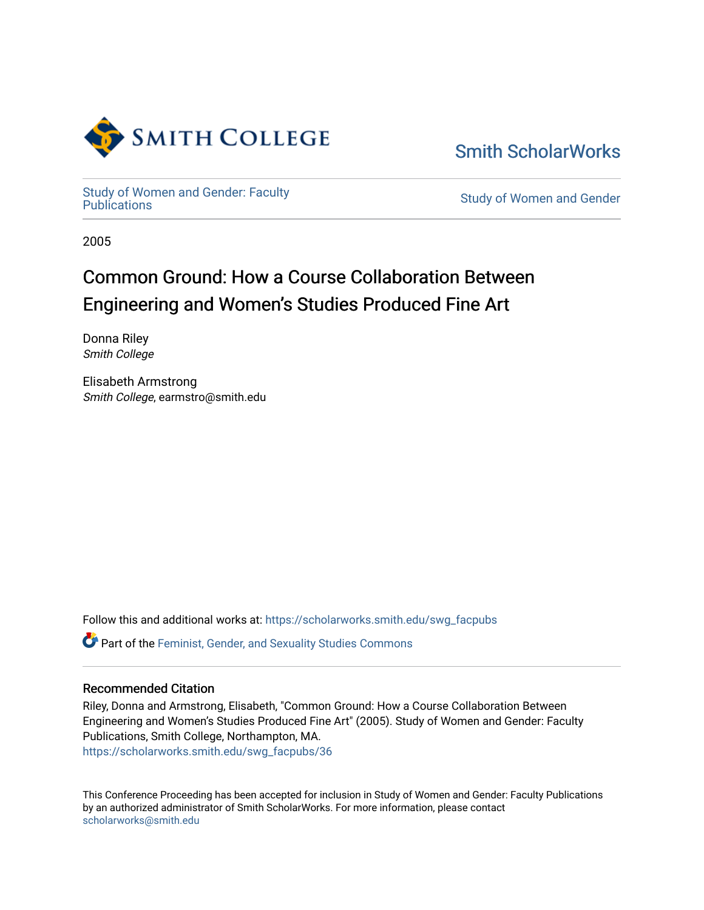

[Smith ScholarWorks](https://scholarworks.smith.edu/) 

Study of Women and Gender: Faculty<br>Publications

**Study of Women and Gender** 

2005

# Common Ground: How a Course Collaboration Between Engineering and Women's Studies Produced Fine Art

Donna Riley Smith College

Elisabeth Armstrong Smith College, earmstro@smith.edu

Follow this and additional works at: [https://scholarworks.smith.edu/swg\\_facpubs](https://scholarworks.smith.edu/swg_facpubs?utm_source=scholarworks.smith.edu%2Fswg_facpubs%2F36&utm_medium=PDF&utm_campaign=PDFCoverPages) 

Part of the [Feminist, Gender, and Sexuality Studies Commons](http://network.bepress.com/hgg/discipline/559?utm_source=scholarworks.smith.edu%2Fswg_facpubs%2F36&utm_medium=PDF&utm_campaign=PDFCoverPages)

#### Recommended Citation

Riley, Donna and Armstrong, Elisabeth, "Common Ground: How a Course Collaboration Between Engineering and Women's Studies Produced Fine Art" (2005). Study of Women and Gender: Faculty Publications, Smith College, Northampton, MA. [https://scholarworks.smith.edu/swg\\_facpubs/36](https://scholarworks.smith.edu/swg_facpubs/36?utm_source=scholarworks.smith.edu%2Fswg_facpubs%2F36&utm_medium=PDF&utm_campaign=PDFCoverPages)

This Conference Proceeding has been accepted for inclusion in Study of Women and Gender: Faculty Publications by an authorized administrator of Smith ScholarWorks. For more information, please contact [scholarworks@smith.edu](mailto:scholarworks@smith.edu)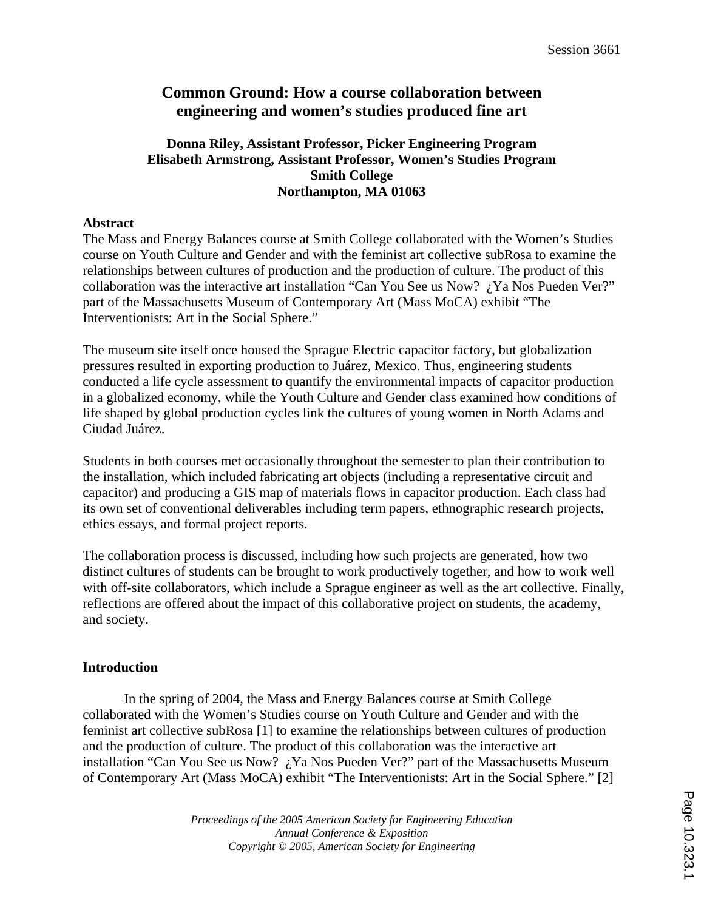# **Common Ground: How a course collaboration between engineering and women's studies produced fine art**

# **Donna Riley, Assistant Professor, Picker Engineering Program Elisabeth Armstrong, Assistant Professor, Women's Studies Program Smith College Northampton, MA 01063**

## **Abstract**

The Mass and Energy Balances course at Smith College collaborated with the Women's Studies course on Youth Culture and Gender and with the feminist art collective subRosa to examine the relationships between cultures of production and the production of culture. The product of this collaboration was the interactive art installation "Can You See us Now?  $\chi$  Ya Nos Pueden Ver?" part of the Massachusetts Museum of Contemporary Art (Mass MoCA) exhibit "The Interventionists: Art in the Social Sphere."

The museum site itself once housed the Sprague Electric capacitor factory, but globalization pressures resulted in exporting production to Juárez, Mexico. Thus, engineering students conducted a life cycle assessment to quantify the environmental impacts of capacitor production in a globalized economy, while the Youth Culture and Gender class examined how conditions of life shaped by global production cycles link the cultures of young women in North Adams and Ciudad Juárez.

Students in both courses met occasionally throughout the semester to plan their contribution to the installation, which included fabricating art objects (including a representative circuit and capacitor) and producing a GIS map of materials flows in capacitor production. Each class had its own set of conventional deliverables including term papers, ethnographic research projects, ethics essays, and formal project reports.

The collaboration process is discussed, including how such projects are generated, how two distinct cultures of students can be brought to work productively together, and how to work well with off-site collaborators, which include a Sprague engineer as well as the art collective. Finally, reflections are offered about the impact of this collaborative project on students, the academy, and society.

# **Introduction**

In the spring of 2004, the Mass and Energy Balances course at Smith College collaborated with the Women's Studies course on Youth Culture and Gender and with the feminist art collective subRosa [1] to examine the relationships between cultures of production and the production of culture. The product of this collaboration was the interactive art installation "Can You See us Now? ¿Ya Nos Pueden Ver?" part of the Massachusetts Museum of Contemporary Art (Mass MoCA) exhibit "The Interventionists: Art in the Social Sphere." [2]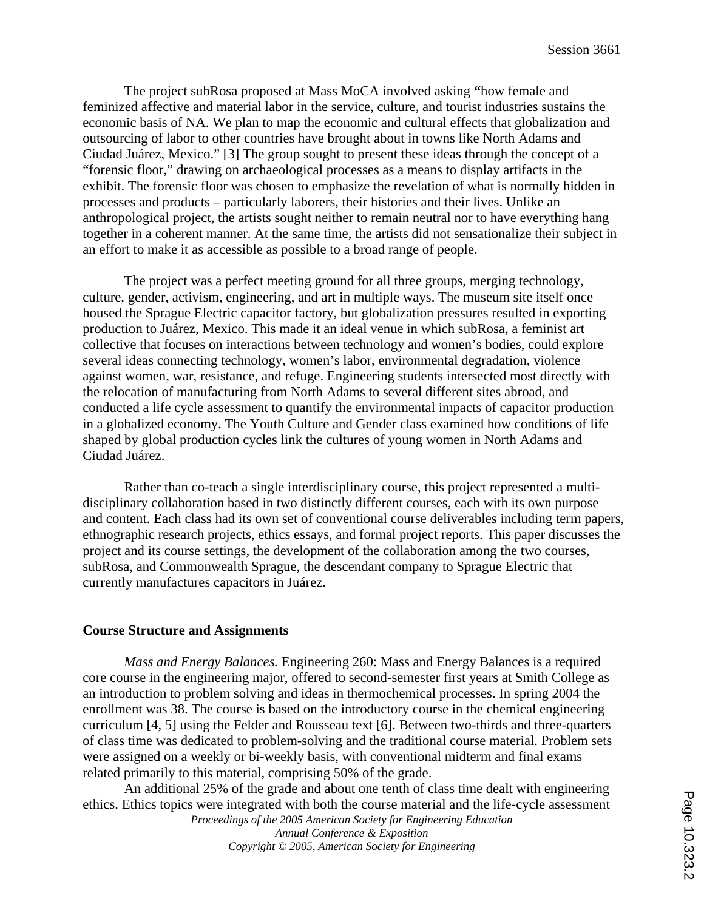The project subRosa proposed at Mass MoCA involved asking **"**how female and feminized affective and material labor in the service, culture, and tourist industries sustains the economic basis of NA. We plan to map the economic and cultural effects that globalization and outsourcing of labor to other countries have brought about in towns like North Adams and Ciudad Juárez, Mexico." [3] The group sought to present these ideas through the concept of a "forensic floor," drawing on archaeological processes as a means to display artifacts in the exhibit. The forensic floor was chosen to emphasize the revelation of what is normally hidden in processes and products – particularly laborers, their histories and their lives. Unlike an anthropological project, the artists sought neither to remain neutral nor to have everything hang together in a coherent manner. At the same time, the artists did not sensationalize their subject in an effort to make it as accessible as possible to a broad range of people.

The project was a perfect meeting ground for all three groups, merging technology, culture, gender, activism, engineering, and art in multiple ways. The museum site itself once housed the Sprague Electric capacitor factory, but globalization pressures resulted in exporting production to Juárez, Mexico. This made it an ideal venue in which subRosa, a feminist art collective that focuses on interactions between technology and women's bodies, could explore several ideas connecting technology, women's labor, environmental degradation, violence against women, war, resistance, and refuge. Engineering students intersected most directly with the relocation of manufacturing from North Adams to several different sites abroad, and conducted a life cycle assessment to quantify the environmental impacts of capacitor production in a globalized economy. The Youth Culture and Gender class examined how conditions of life shaped by global production cycles link the cultures of young women in North Adams and Ciudad Juárez.

Rather than co-teach a single interdisciplinary course, this project represented a multidisciplinary collaboration based in two distinctly different courses, each with its own purpose and content. Each class had its own set of conventional course deliverables including term papers, ethnographic research projects, ethics essays, and formal project reports. This paper discusses the project and its course settings, the development of the collaboration among the two courses, subRosa, and Commonwealth Sprague, the descendant company to Sprague Electric that currently manufactures capacitors in Juárez.

#### **Course Structure and Assignments**

*Mass and Energy Balances.* Engineering 260: Mass and Energy Balances is a required core course in the engineering major, offered to second-semester first years at Smith College as an introduction to problem solving and ideas in thermochemical processes. In spring 2004 the enrollment was 38. The course is based on the introductory course in the chemical engineering curriculum [4, 5] using the Felder and Rousseau text [6]. Between two-thirds and three-quarters of class time was dedicated to problem-solving and the traditional course material. Problem sets were assigned on a weekly or bi-weekly basis, with conventional midterm and final exams related primarily to this material, comprising 50% of the grade.

An additional 25% of the grade and about one tenth of class time dealt with engineering ethics. Ethics topics were integrated with both the course material and the life-cycle assessment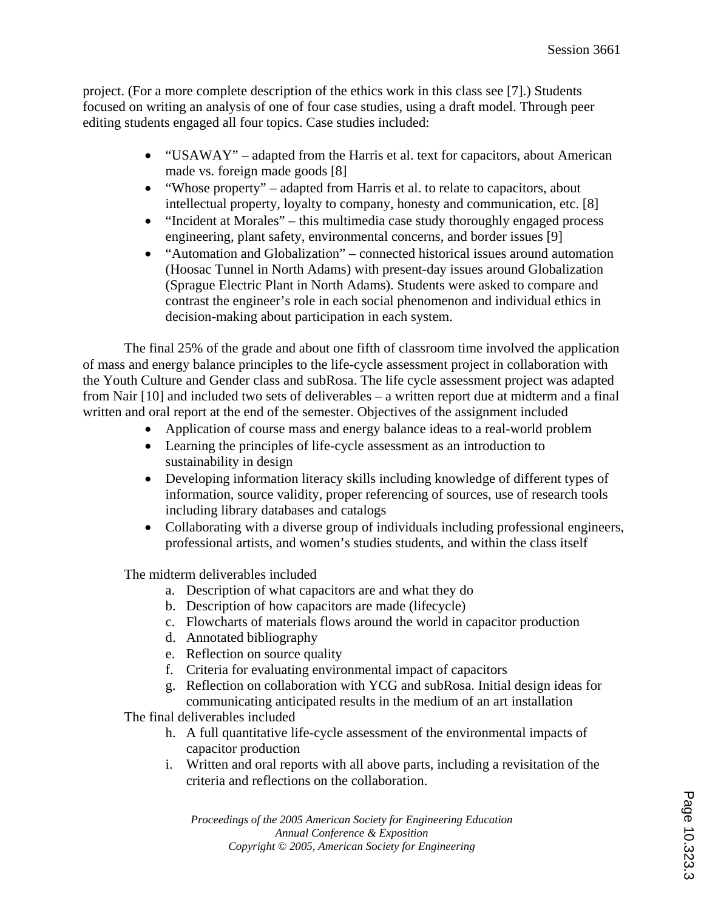project. (For a more complete description of the ethics work in this class see [7].) Students focused on writing an analysis of one of four case studies, using a draft model. Through peer editing students engaged all four topics. Case studies included:

- "USAWAY" adapted from the Harris et al. text for capacitors, about American made vs. foreign made goods [8]
- "Whose property" adapted from Harris et al. to relate to capacitors, about intellectual property, loyalty to company, honesty and communication, etc. [8]
- "Incident at Morales" this multimedia case study thoroughly engaged process engineering, plant safety, environmental concerns, and border issues [9]
- "Automation and Globalization" connected historical issues around automation (Hoosac Tunnel in North Adams) with present-day issues around Globalization (Sprague Electric Plant in North Adams). Students were asked to compare and contrast the engineer's role in each social phenomenon and individual ethics in decision-making about participation in each system.

The final 25% of the grade and about one fifth of classroom time involved the application of mass and energy balance principles to the life-cycle assessment project in collaboration with the Youth Culture and Gender class and subRosa. The life cycle assessment project was adapted from Nair [10] and included two sets of deliverables – a written report due at midterm and a final written and oral report at the end of the semester. Objectives of the assignment included

- Application of course mass and energy balance ideas to a real-world problem
- Learning the principles of life-cycle assessment as an introduction to sustainability in design
- Developing information literacy skills including knowledge of different types of information, source validity, proper referencing of sources, use of research tools including library databases and catalogs
- Collaborating with a diverse group of individuals including professional engineers, professional artists, and women's studies students, and within the class itself

The midterm deliverables included

- a. Description of what capacitors are and what they do
- b. Description of how capacitors are made (lifecycle)
- c. Flowcharts of materials flows around the world in capacitor production
- d. Annotated bibliography
- e. Reflection on source quality
- f. Criteria for evaluating environmental impact of capacitors
- g. Reflection on collaboration with YCG and subRosa. Initial design ideas for communicating anticipated results in the medium of an art installation

The final deliverables included

- h. A full quantitative life-cycle assessment of the environmental impacts of capacitor production
- i. Written and oral reports with all above parts, including a revisitation of the criteria and reflections on the collaboration.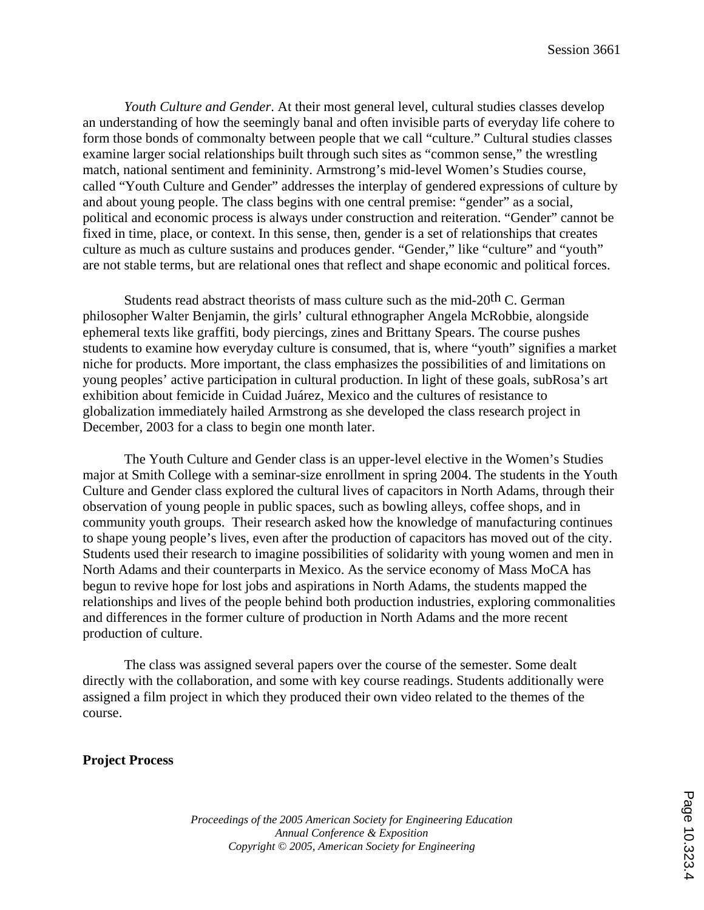*Youth Culture and Gender*. At their most general level, cultural studies classes develop an understanding of how the seemingly banal and often invisible parts of everyday life cohere to form those bonds of commonalty between people that we call "culture." Cultural studies classes examine larger social relationships built through such sites as "common sense," the wrestling match, national sentiment and femininity. Armstrong's mid-level Women's Studies course, called "Youth Culture and Gender" addresses the interplay of gendered expressions of culture by and about young people. The class begins with one central premise: "gender" as a social, political and economic process is always under construction and reiteration. "Gender" cannot be fixed in time, place, or context. In this sense, then, gender is a set of relationships that creates culture as much as culture sustains and produces gender. "Gender," like "culture" and "youth" are not stable terms, but are relational ones that reflect and shape economic and political forces.

Students read abstract theorists of mass culture such as the mid-20<sup>th</sup> C. German philosopher Walter Benjamin, the girls' cultural ethnographer Angela McRobbie, alongside ephemeral texts like graffiti, body piercings, zines and Brittany Spears. The course pushes students to examine how everyday culture is consumed, that is, where "youth" signifies a market niche for products. More important, the class emphasizes the possibilities of and limitations on young peoples' active participation in cultural production. In light of these goals, subRosa's art exhibition about femicide in Cuidad Juárez, Mexico and the cultures of resistance to globalization immediately hailed Armstrong as she developed the class research project in December, 2003 for a class to begin one month later.

The Youth Culture and Gender class is an upper-level elective in the Women's Studies major at Smith College with a seminar-size enrollment in spring 2004. The students in the Youth Culture and Gender class explored the cultural lives of capacitors in North Adams, through their observation of young people in public spaces, such as bowling alleys, coffee shops, and in community youth groups. Their research asked how the knowledge of manufacturing continues to shape young people's lives, even after the production of capacitors has moved out of the city. Students used their research to imagine possibilities of solidarity with young women and men in North Adams and their counterparts in Mexico. As the service economy of Mass MoCA has begun to revive hope for lost jobs and aspirations in North Adams, the students mapped the relationships and lives of the people behind both production industries, exploring commonalities and differences in the former culture of production in North Adams and the more recent production of culture.

The class was assigned several papers over the course of the semester. Some dealt directly with the collaboration, and some with key course readings. Students additionally were assigned a film project in which they produced their own video related to the themes of the course.

**Project Process** 

Page 10.323.4Page 10.323.4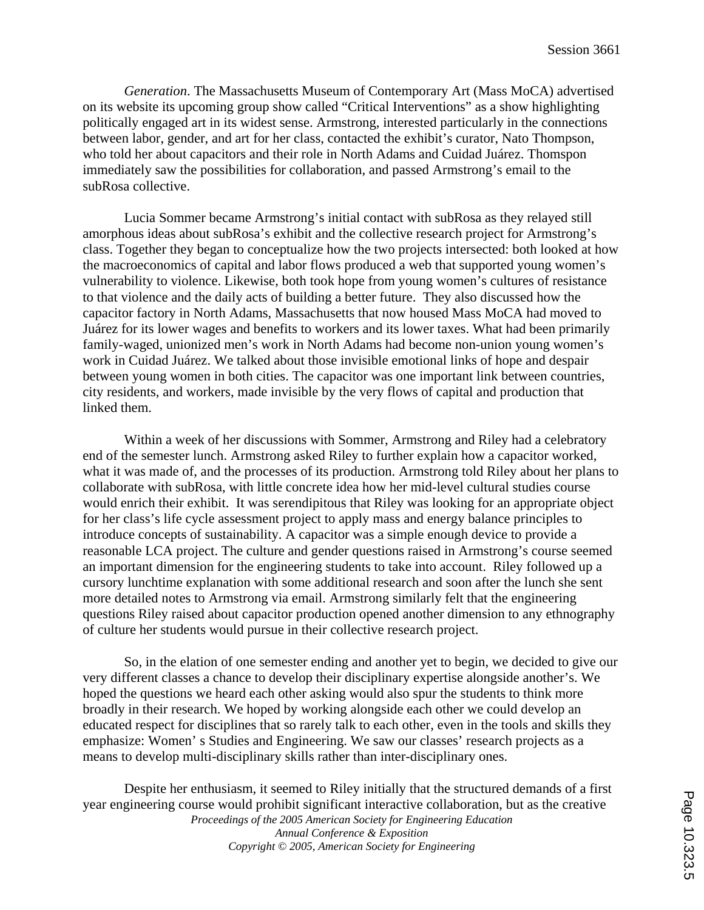*Generation*. The Massachusetts Museum of Contemporary Art (Mass MoCA) advertised on its website its upcoming group show called "Critical Interventions" as a show highlighting politically engaged art in its widest sense. Armstrong, interested particularly in the connections between labor, gender, and art for her class, contacted the exhibit's curator, Nato Thompson, who told her about capacitors and their role in North Adams and Cuidad Juárez. Thomspon immediately saw the possibilities for collaboration, and passed Armstrong's email to the subRosa collective.

Lucia Sommer became Armstrong's initial contact with subRosa as they relayed still amorphous ideas about subRosa's exhibit and the collective research project for Armstrong's class. Together they began to conceptualize how the two projects intersected: both looked at how the macroeconomics of capital and labor flows produced a web that supported young women's vulnerability to violence. Likewise, both took hope from young women's cultures of resistance to that violence and the daily acts of building a better future. They also discussed how the capacitor factory in North Adams, Massachusetts that now housed Mass MoCA had moved to Juárez for its lower wages and benefits to workers and its lower taxes. What had been primarily family-waged, unionized men's work in North Adams had become non-union young women's work in Cuidad Juárez. We talked about those invisible emotional links of hope and despair between young women in both cities. The capacitor was one important link between countries, city residents, and workers, made invisible by the very flows of capital and production that linked them.

Within a week of her discussions with Sommer, Armstrong and Riley had a celebratory end of the semester lunch. Armstrong asked Riley to further explain how a capacitor worked, what it was made of, and the processes of its production. Armstrong told Riley about her plans to collaborate with subRosa, with little concrete idea how her mid-level cultural studies course would enrich their exhibit. It was serendipitous that Riley was looking for an appropriate object for her class's life cycle assessment project to apply mass and energy balance principles to introduce concepts of sustainability. A capacitor was a simple enough device to provide a reasonable LCA project. The culture and gender questions raised in Armstrong's course seemed an important dimension for the engineering students to take into account. Riley followed up a cursory lunchtime explanation with some additional research and soon after the lunch she sent more detailed notes to Armstrong via email. Armstrong similarly felt that the engineering questions Riley raised about capacitor production opened another dimension to any ethnography of culture her students would pursue in their collective research project.

So, in the elation of one semester ending and another yet to begin, we decided to give our very different classes a chance to develop their disciplinary expertise alongside another's. We hoped the questions we heard each other asking would also spur the students to think more broadly in their research. We hoped by working alongside each other we could develop an educated respect for disciplines that so rarely talk to each other, even in the tools and skills they emphasize: Women' s Studies and Engineering. We saw our classes' research projects as a means to develop multi-disciplinary skills rather than inter-disciplinary ones.

*Proceedings of the 2005 American Society for Engineering Education Annual Conference & Exposition Copyright © 2005, American Society for Engineering* Despite her enthusiasm, it seemed to Riley initially that the structured demands of a first year engineering course would prohibit significant interactive collaboration, but as the creative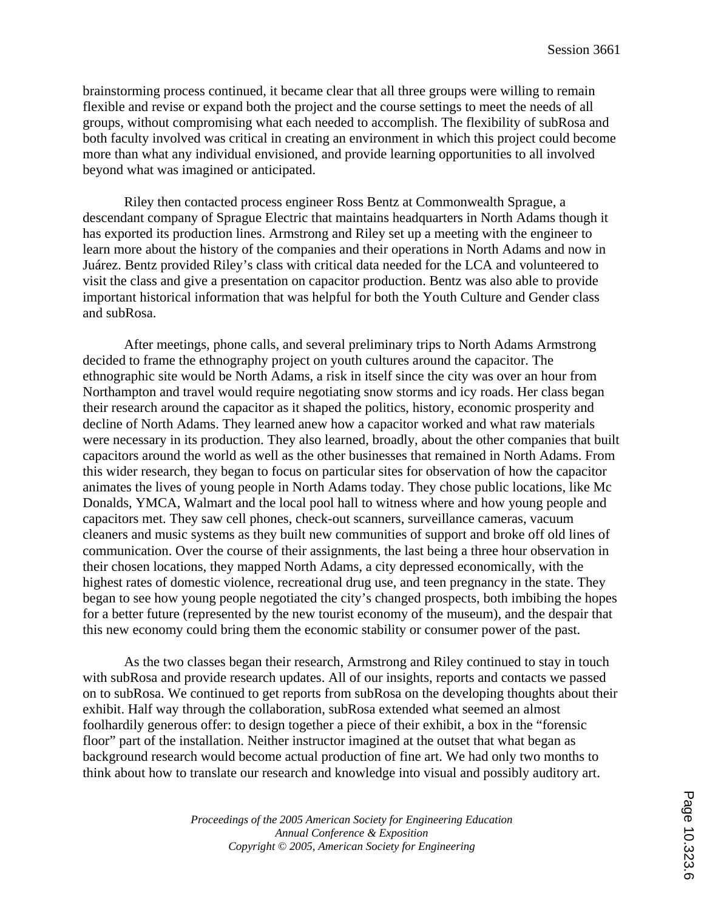brainstorming process continued, it became clear that all three groups were willing to remain flexible and revise or expand both the project and the course settings to meet the needs of all groups, without compromising what each needed to accomplish. The flexibility of subRosa and both faculty involved was critical in creating an environment in which this project could become more than what any individual envisioned, and provide learning opportunities to all involved beyond what was imagined or anticipated.

Riley then contacted process engineer Ross Bentz at Commonwealth Sprague, a descendant company of Sprague Electric that maintains headquarters in North Adams though it has exported its production lines. Armstrong and Riley set up a meeting with the engineer to learn more about the history of the companies and their operations in North Adams and now in Juárez. Bentz provided Riley's class with critical data needed for the LCA and volunteered to visit the class and give a presentation on capacitor production. Bentz was also able to provide important historical information that was helpful for both the Youth Culture and Gender class and subRosa.

After meetings, phone calls, and several preliminary trips to North Adams Armstrong decided to frame the ethnography project on youth cultures around the capacitor. The ethnographic site would be North Adams, a risk in itself since the city was over an hour from Northampton and travel would require negotiating snow storms and icy roads. Her class began their research around the capacitor as it shaped the politics, history, economic prosperity and decline of North Adams. They learned anew how a capacitor worked and what raw materials were necessary in its production. They also learned, broadly, about the other companies that built capacitors around the world as well as the other businesses that remained in North Adams. From this wider research, they began to focus on particular sites for observation of how the capacitor animates the lives of young people in North Adams today. They chose public locations, like Mc Donalds, YMCA, Walmart and the local pool hall to witness where and how young people and capacitors met. They saw cell phones, check-out scanners, surveillance cameras, vacuum cleaners and music systems as they built new communities of support and broke off old lines of communication. Over the course of their assignments, the last being a three hour observation in their chosen locations, they mapped North Adams, a city depressed economically, with the highest rates of domestic violence, recreational drug use, and teen pregnancy in the state. They began to see how young people negotiated the city's changed prospects, both imbibing the hopes for a better future (represented by the new tourist economy of the museum), and the despair that this new economy could bring them the economic stability or consumer power of the past.

As the two classes began their research, Armstrong and Riley continued to stay in touch with subRosa and provide research updates. All of our insights, reports and contacts we passed on to subRosa. We continued to get reports from subRosa on the developing thoughts about their exhibit. Half way through the collaboration, subRosa extended what seemed an almost foolhardily generous offer: to design together a piece of their exhibit, a box in the "forensic floor" part of the installation. Neither instructor imagined at the outset that what began as background research would become actual production of fine art. We had only two months to think about how to translate our research and knowledge into visual and possibly auditory art.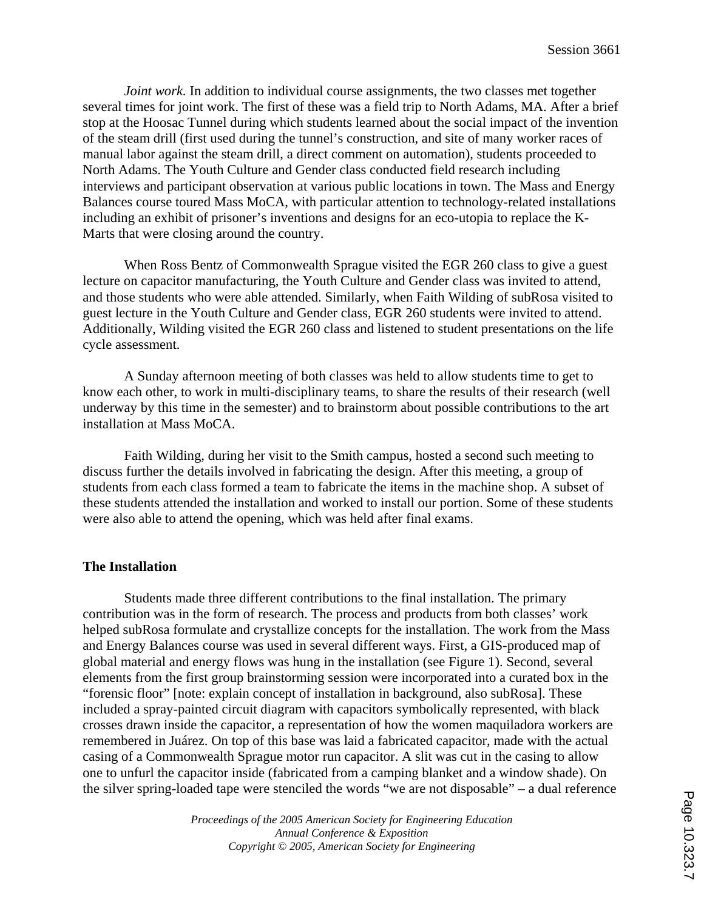*Joint work*. In addition to individual course assignments, the two classes met together several times for joint work. The first of these was a field trip to North Adams, MA. After a brief stop at the Hoosac Tunnel during which students learned about the social impact of the invention of the steam drill (first used during the tunnel's construction, and site of many worker races of manual labor against the steam drill, a direct comment on automation), students proceeded to North Adams. The Youth Culture and Gender class conducted field research including interviews and participant observation at various public locations in town. The Mass and Energy Balances course toured Mass MoCA, with particular attention to technology-related installations including an exhibit of prisoner's inventions and designs for an eco-utopia to replace the K-Marts that were closing around the country.

When Ross Bentz of Commonwealth Sprague visited the EGR 260 class to give a guest lecture on capacitor manufacturing, the Youth Culture and Gender class was invited to attend, and those students who were able attended. Similarly, when Faith Wilding of subRosa visited to guest lecture in the Youth Culture and Gender class, EGR 260 students were invited to attend. Additionally, Wilding visited the EGR 260 class and listened to student presentations on the life cycle assessment.

A Sunday afternoon meeting of both classes was held to allow students time to get to know each other, to work in multi-disciplinary teams, to share the results of their research (well underway by this time in the semester) and to brainstorm about possible contributions to the art installation at Mass MoCA.

Faith Wilding, during her visit to the Smith campus, hosted a second such meeting to discuss further the details involved in fabricating the design. After this meeting, a group of students from each class formed a team to fabricate the items in the machine shop. A subset of these students attended the installation and worked to install our portion. Some of these students were also able to attend the opening, which was held after final exams.

#### **The Installation**

 Students made three different contributions to the final installation. The primary contribution was in the form of research. The process and products from both classes' work helped subRosa formulate and crystallize concepts for the installation. The work from the Mass and Energy Balances course was used in several different ways. First, a GIS-produced map of global material and energy flows was hung in the installation (see Figure 1). Second, several elements from the first group brainstorming session were incorporated into a curated box in the "forensic floor" [note: explain concept of installation in background, also subRosa]. These included a spray-painted circuit diagram with capacitors symbolically represented, with black crosses drawn inside the capacitor, a representation of how the women maquiladora workers are remembered in Juárez. On top of this base was laid a fabricated capacitor, made with the actual casing of a Commonwealth Sprague motor run capacitor. A slit was cut in the casing to allow one to unfurl the capacitor inside (fabricated from a camping blanket and a window shade). On the silver spring-loaded tape were stenciled the words "we are not disposable" – a dual reference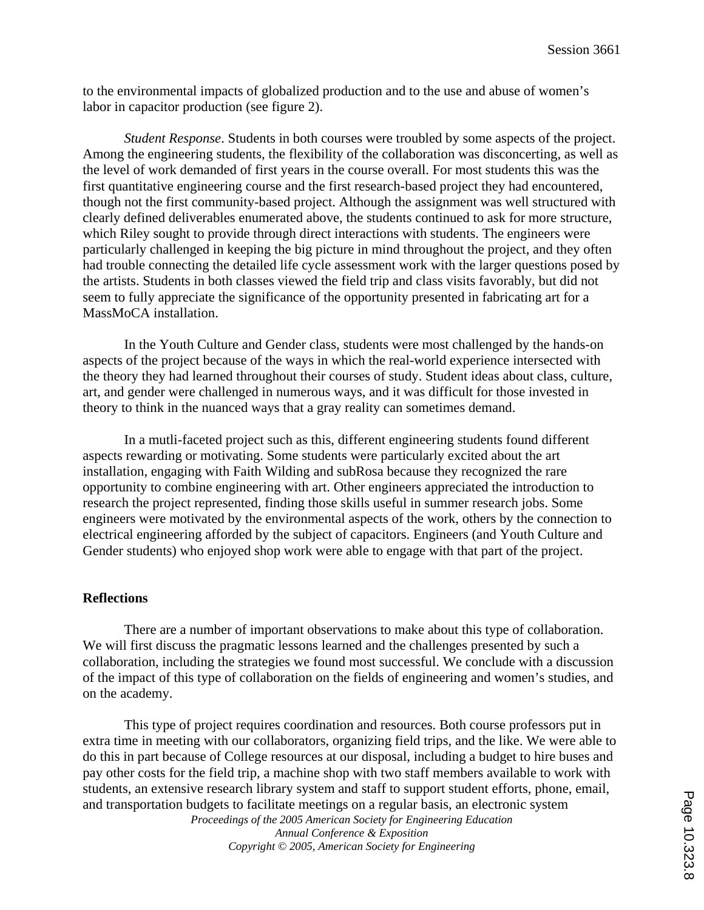to the environmental impacts of globalized production and to the use and abuse of women's labor in capacitor production (see figure 2).

*Student Response*. Students in both courses were troubled by some aspects of the project. Among the engineering students, the flexibility of the collaboration was disconcerting, as well as the level of work demanded of first years in the course overall. For most students this was the first quantitative engineering course and the first research-based project they had encountered, though not the first community-based project. Although the assignment was well structured with clearly defined deliverables enumerated above, the students continued to ask for more structure, which Riley sought to provide through direct interactions with students. The engineers were particularly challenged in keeping the big picture in mind throughout the project, and they often had trouble connecting the detailed life cycle assessment work with the larger questions posed by the artists. Students in both classes viewed the field trip and class visits favorably, but did not seem to fully appreciate the significance of the opportunity presented in fabricating art for a MassMoCA installation.

In the Youth Culture and Gender class, students were most challenged by the hands-on aspects of the project because of the ways in which the real-world experience intersected with the theory they had learned throughout their courses of study. Student ideas about class, culture, art, and gender were challenged in numerous ways, and it was difficult for those invested in theory to think in the nuanced ways that a gray reality can sometimes demand.

 In a mutli-faceted project such as this, different engineering students found different aspects rewarding or motivating. Some students were particularly excited about the art installation, engaging with Faith Wilding and subRosa because they recognized the rare opportunity to combine engineering with art. Other engineers appreciated the introduction to research the project represented, finding those skills useful in summer research jobs. Some engineers were motivated by the environmental aspects of the work, others by the connection to electrical engineering afforded by the subject of capacitors. Engineers (and Youth Culture and Gender students) who enjoyed shop work were able to engage with that part of the project.

#### **Reflections**

There are a number of important observations to make about this type of collaboration. We will first discuss the pragmatic lessons learned and the challenges presented by such a collaboration, including the strategies we found most successful. We conclude with a discussion of the impact of this type of collaboration on the fields of engineering and women's studies, and on the academy.

This type of project requires coordination and resources. Both course professors put in extra time in meeting with our collaborators, organizing field trips, and the like. We were able to do this in part because of College resources at our disposal, including a budget to hire buses and pay other costs for the field trip, a machine shop with two staff members available to work with students, an extensive research library system and staff to support student efforts, phone, email, and transportation budgets to facilitate meetings on a regular basis, an electronic system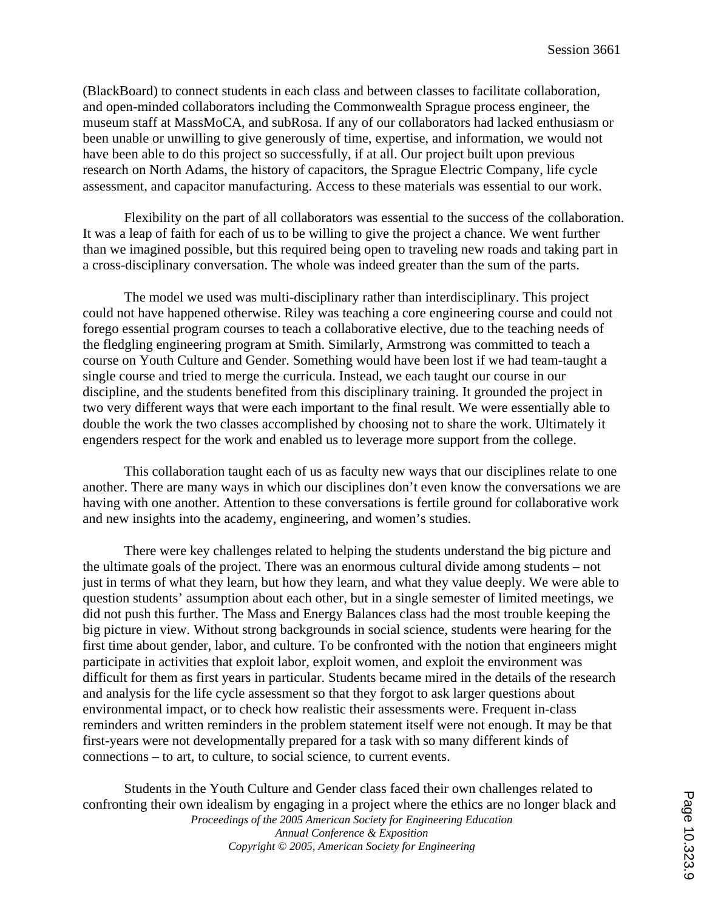(BlackBoard) to connect students in each class and between classes to facilitate collaboration, and open-minded collaborators including the Commonwealth Sprague process engineer, the museum staff at MassMoCA, and subRosa. If any of our collaborators had lacked enthusiasm or been unable or unwilling to give generously of time, expertise, and information, we would not have been able to do this project so successfully, if at all. Our project built upon previous research on North Adams, the history of capacitors, the Sprague Electric Company, life cycle assessment, and capacitor manufacturing. Access to these materials was essential to our work.

Flexibility on the part of all collaborators was essential to the success of the collaboration. It was a leap of faith for each of us to be willing to give the project a chance. We went further than we imagined possible, but this required being open to traveling new roads and taking part in a cross-disciplinary conversation. The whole was indeed greater than the sum of the parts.

The model we used was multi-disciplinary rather than interdisciplinary. This project could not have happened otherwise. Riley was teaching a core engineering course and could not forego essential program courses to teach a collaborative elective, due to the teaching needs of the fledgling engineering program at Smith. Similarly, Armstrong was committed to teach a course on Youth Culture and Gender. Something would have been lost if we had team-taught a single course and tried to merge the curricula. Instead, we each taught our course in our discipline, and the students benefited from this disciplinary training. It grounded the project in two very different ways that were each important to the final result. We were essentially able to double the work the two classes accomplished by choosing not to share the work. Ultimately it engenders respect for the work and enabled us to leverage more support from the college.

This collaboration taught each of us as faculty new ways that our disciplines relate to one another. There are many ways in which our disciplines don't even know the conversations we are having with one another. Attention to these conversations is fertile ground for collaborative work and new insights into the academy, engineering, and women's studies.

There were key challenges related to helping the students understand the big picture and the ultimate goals of the project. There was an enormous cultural divide among students – not just in terms of what they learn, but how they learn, and what they value deeply. We were able to question students' assumption about each other, but in a single semester of limited meetings, we did not push this further. The Mass and Energy Balances class had the most trouble keeping the big picture in view. Without strong backgrounds in social science, students were hearing for the first time about gender, labor, and culture. To be confronted with the notion that engineers might participate in activities that exploit labor, exploit women, and exploit the environment was difficult for them as first years in particular. Students became mired in the details of the research and analysis for the life cycle assessment so that they forgot to ask larger questions about environmental impact, or to check how realistic their assessments were. Frequent in-class reminders and written reminders in the problem statement itself were not enough. It may be that first-years were not developmentally prepared for a task with so many different kinds of connections – to art, to culture, to social science, to current events.

*Proceedings of the 2005 American Society for Engineering Education Annual Conference & Exposition Copyright © 2005, American Society for Engineering* Students in the Youth Culture and Gender class faced their own challenges related to confronting their own idealism by engaging in a project where the ethics are no longer black and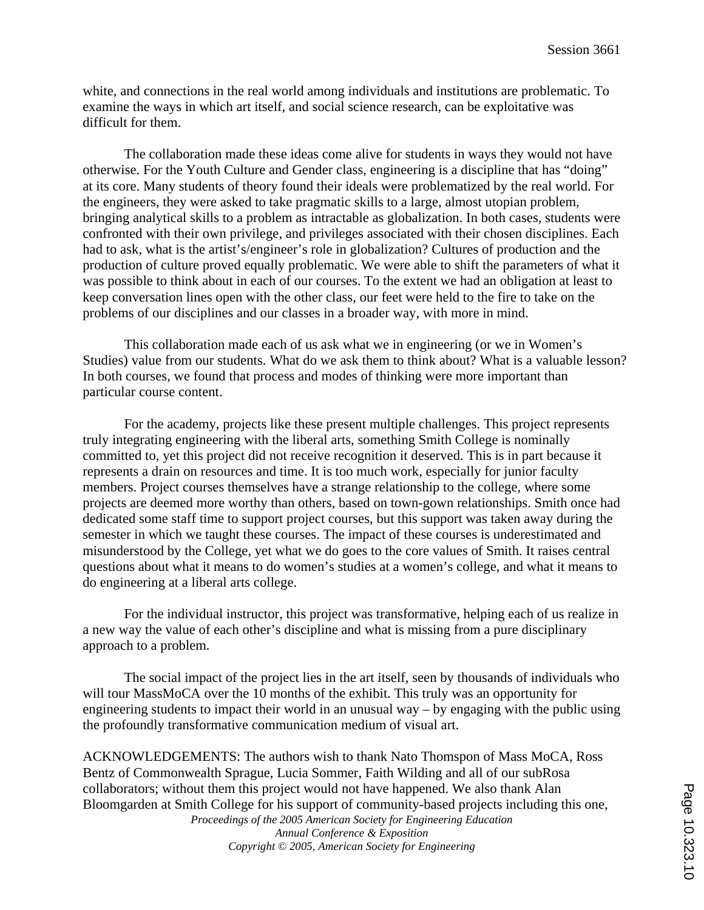white, and connections in the real world among individuals and institutions are problematic. To examine the ways in which art itself, and social science research, can be exploitative was difficult for them.

The collaboration made these ideas come alive for students in ways they would not have otherwise. For the Youth Culture and Gender class, engineering is a discipline that has "doing" at its core. Many students of theory found their ideals were problematized by the real world. For the engineers, they were asked to take pragmatic skills to a large, almost utopian problem, bringing analytical skills to a problem as intractable as globalization. In both cases, students were confronted with their own privilege, and privileges associated with their chosen disciplines. Each had to ask, what is the artist's/engineer's role in globalization? Cultures of production and the production of culture proved equally problematic. We were able to shift the parameters of what it was possible to think about in each of our courses. To the extent we had an obligation at least to keep conversation lines open with the other class, our feet were held to the fire to take on the problems of our disciplines and our classes in a broader way, with more in mind.

This collaboration made each of us ask what we in engineering (or we in Women's Studies) value from our students. What do we ask them to think about? What is a valuable lesson? In both courses, we found that process and modes of thinking were more important than particular course content.

For the academy, projects like these present multiple challenges. This project represents truly integrating engineering with the liberal arts, something Smith College is nominally committed to, yet this project did not receive recognition it deserved. This is in part because it represents a drain on resources and time. It is too much work, especially for junior faculty members. Project courses themselves have a strange relationship to the college, where some projects are deemed more worthy than others, based on town-gown relationships. Smith once had dedicated some staff time to support project courses, but this support was taken away during the semester in which we taught these courses. The impact of these courses is underestimated and misunderstood by the College, yet what we do goes to the core values of Smith. It raises central questions about what it means to do women's studies at a women's college, and what it means to do engineering at a liberal arts college.

For the individual instructor, this project was transformative, helping each of us realize in a new way the value of each other's discipline and what is missing from a pure disciplinary approach to a problem.

The social impact of the project lies in the art itself, seen by thousands of individuals who will tour MassMoCA over the 10 months of the exhibit. This truly was an opportunity for engineering students to impact their world in an unusual way – by engaging with the public using the profoundly transformative communication medium of visual art.

ACKNOWLEDGEMENTS: The authors wish to thank Nato Thomspon of Mass MoCA, Ross Bentz of Commonwealth Sprague, Lucia Sommer, Faith Wilding and all of our subRosa collaborators; without them this project would not have happened. We also thank Alan Bloomgarden at Smith College for his support of community-based projects including this one,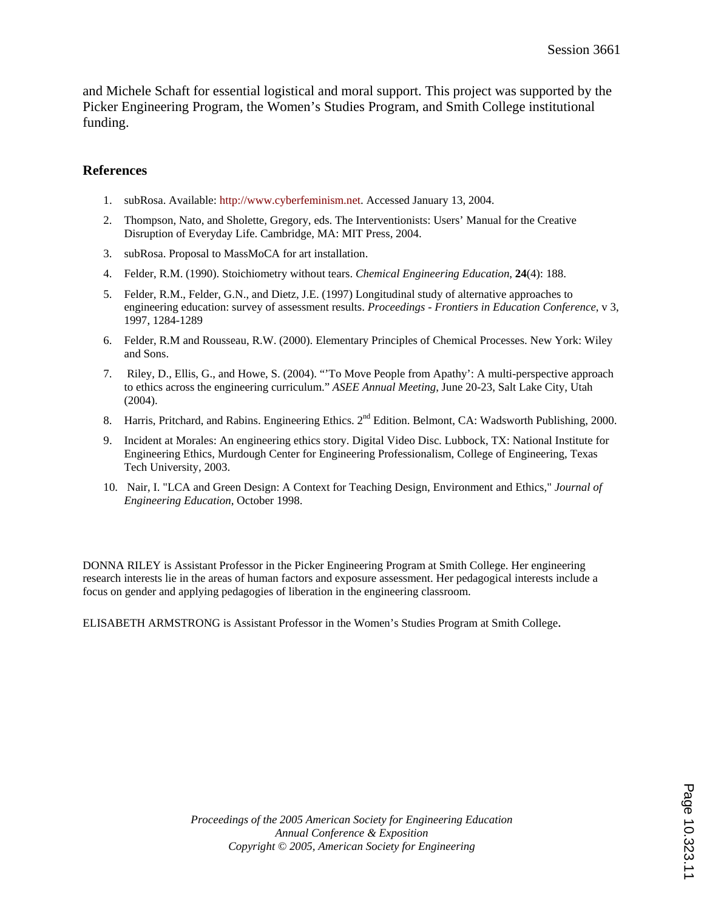and Michele Schaft for essential logistical and moral support. This project was supported by the Picker Engineering Program, the Women's Studies Program, and Smith College institutional funding.

## **References**

- 1. subRosa. Available: http://www.cyberfeminism.net. Accessed January 13, 2004.
- 2. Thompson, Nato, and Sholette, Gregory, eds. The Interventionists: Users' Manual for the Creative Disruption of Everyday Life. Cambridge, MA: MIT Press, 2004.
- 3. subRosa. Proposal to MassMoCA for art installation.
- 4. Felder, R.M. (1990). Stoichiometry without tears. *Chemical Engineering Education*, **24**(4): 188.
- 5. Felder, R.M., Felder, G.N., and Dietz, J.E. (1997) Longitudinal study of alternative approaches to engineering education: survey of assessment results. *Proceedings - Frontiers in Education Conference*, v 3, 1997, 1284-1289
- 6. Felder, R.M and Rousseau, R.W. (2000). Elementary Principles of Chemical Processes. New York: Wiley and Sons.
- 7. Riley, D., Ellis, G., and Howe, S. (2004). "'To Move People from Apathy': A multi-perspective approach to ethics across the engineering curriculum." *ASEE Annual Meeting*, June 20-23, Salt Lake City, Utah (2004).
- 8. Harris, Pritchard, and Rabins. Engineering Ethics. 2<sup>nd</sup> Edition. Belmont, CA: Wadsworth Publishing, 2000.
- 9. Incident at Morales: An engineering ethics story. Digital Video Disc. Lubbock, TX: National Institute for Engineering Ethics, Murdough Center for Engineering Professionalism, College of Engineering, Texas Tech University, 2003.
- 10. Nair, I. "LCA and Green Design: A Context for Teaching Design, Environment and Ethics," *Journal of Engineering Education*, October 1998.

DONNA RILEY is Assistant Professor in the Picker Engineering Program at Smith College. Her engineering research interests lie in the areas of human factors and exposure assessment. Her pedagogical interests include a focus on gender and applying pedagogies of liberation in the engineering classroom.

ELISABETH ARMSTRONG is Assistant Professor in the Women's Studies Program at Smith College.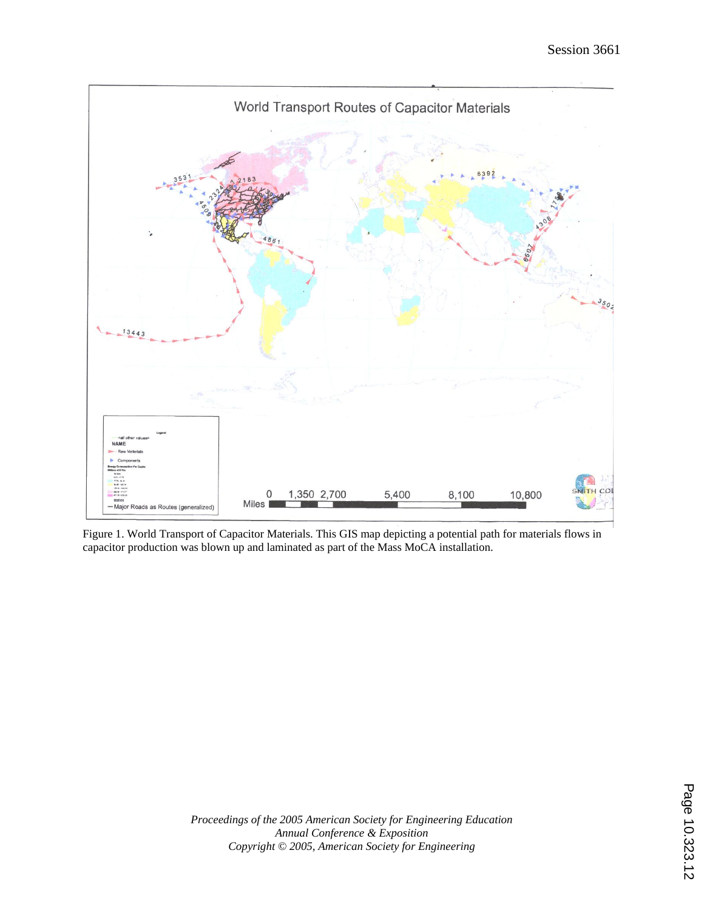

Figure 1. World Transport of Capacitor Materials. This GIS map depicting a potential path for materials flows in capacitor production was blown up and laminated as part of the Mass MoCA installation.